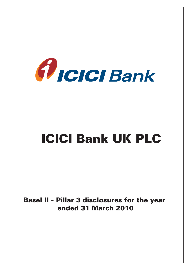

# ICICI Bank UK PLC

BaseI II - Pillar 3 disclosures for the year ended 31 March 2010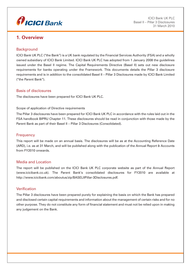

# **1. Overview**

## **Background**

ICICI Bank UK PLC ("the Bank") is a UK bank regulated by the Financial Services Authority (FSA) and a wholly owned subsidiary of ICICI Bank Limited. ICICI Bank UK PLC has adopted from 1 January 2008 the guidelines issued under the Basel II regime. The Capital Requirements Directive (Basel II) sets out new disclosure requirements for banks operating under the Framework. This documents details the Pillar 3 disclosure requirements and is in addition to the consolidated Basel II – Pillar 3 Disclosures made by ICICI Bank Limited ("the Parent Bank").

## Basis of disclosures

The disclosures have been prepared for ICICI Bank UK PLC.

#### Scope of application of Directive requirements

The Pillar 3 disclosures have been prepared for ICICI Bank UK PLC in accordance with the rules laid out in the FSA handbook BIPRU Chapter 11. These disclosures should be read in conjunction with those made by the Parent Bank as part of their Basel II – Pillar 3 Disclosures (Consolidated).

## **Frequency**

This report will be made on an annual basis. The disclosures will be as at the Accounting Reference Date (ARD), i.e. as at 31 March, and will be published along with the publication of the Annual Report & Accounts from FY2010 onwards.

## Media and Location

The report will be published on the ICICI Bank UK PLC corporate website as part of the Annual Report (www.icicibank.co.uk). The Parent Bank's consolidated disclosures for FY2010 are available at http://www.icicibank.com/aboutus/zip/BASELIIPillar-3Disclosures.pdf.

## Verification

The Pillar 3 disclosures have been prepared purely for explaining the basis on which the Bank has prepared and disclosed certain capital requirements and information about the management of certain risks and for no other purpose. They do not constitute any form of financial statement and must not be relied upon in making any judgement on the Bank.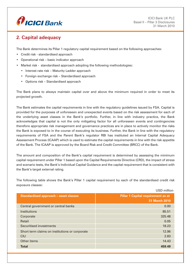

# **2. Capital adequacy**

The Bank determines its Pillar 1 regulatory capital requirement based on the following approaches:

- Credit risk standardised approach
- Operational risk basic indicator approach
- Market risk standardised approach adopting the following methodologies:
	- Interest rate risk Maturity Ladder approach
	- Foreign exchange risk Standardised approach
	- Options risk Standardised approach

The Bank plans to always maintain capital over and above the minimum required in order to meet its projected growth.

The Bank estimates the capital requirements in line with the regulatory guidelines issued by FSA. Capital is provided for the purposes of unforeseen and unexpected events based on the risk assessment for each of the underlying asset classes in the Bank's portfolio. Further, in line with industry practice, the Bank acknowledges that capital is not the only mitigating factor for all unforeseen events and contingencies therefore appropriate risk management and governance practices are in place to actively monitor the risks the Bank is exposed to in the course of executing its business. Further, the Bank in line with the regulatory requirements of FSA and the Parent Bank's regulator RBI has instituted an Internal Capital Adequacy Assessment Process (ICAAP) which is used to estimate the capital requirements in line with the risk appetite of the Bank. The ICAAP is approved by the Board Risk and Credit Committee (BRCC) of the Bank.

The amount and composition of the Bank's capital requirement is determined by assessing the minimum capital requirement under Pillar 1 based upon the Capital Requirements Directive (CRD), the impact of stress and scenario tests, the Bank's Individual Capital Guidance and the capital requirement that is consistent with the Bank's target external rating.

The following table shows the Bank's Pillar 1 capital requirement by each of the standardised credit risk exposure classes:

|                                                | USD million                               |
|------------------------------------------------|-------------------------------------------|
| <b>Standardised approach - asset classes</b>   | <b>Pillar 1 Capital requirement as at</b> |
|                                                | <b>31 March 2010</b>                      |
| Central government or central banks            | 0.00                                      |
| Institutions                                   | 85.51                                     |
| Corporate                                      | 325.48                                    |
| Retail                                         | 0.05                                      |
| Securitised investments                        | 18.23                                     |
| Short term claims on institutions or corporate | 12.96                                     |
| <b>CIU</b>                                     | 2.83                                      |
| Other items                                    | 14.43                                     |
| <b>Total</b>                                   | 459.49                                    |
|                                                |                                           |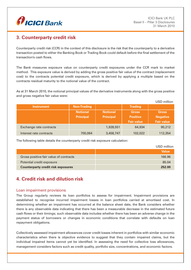

# **3. Counterparty credit risk**

Counterparty credit risk (CCR) in the context of this disclosure is the risk that the counterparty to a derivative transaction posted to either the Banking Book or Trading Book could default before the final settlement of the transaction's cash flows.

The Bank measures exposure value on counterparty credit exposures under the CCR mark to market method. This exposure value is derived by adding the gross positive fair value of the contract (replacement cost) to the contracts potential credit exposure, which is derived by applying a multiple based on the contracts residual maturity to the notional value of the contract.

As at 31 March 2010, the notional principal values of the derivative instruments along with the gross positive and gross negative fair value were:

|                         |                    |                  |                   | USD million       |
|-------------------------|--------------------|------------------|-------------------|-------------------|
| <b>Instrument</b>       | <b>Non-Trading</b> |                  | <b>Trading</b>    |                   |
|                         | <b>Notional</b>    | <b>Notional</b>  | <b>Gross</b>      | <b>Gross</b>      |
|                         | <b>Principal</b>   | <b>Principal</b> | <b>Positive</b>   | <b>Negative</b>   |
|                         |                    |                  | <b>Fair value</b> | <b>Fair value</b> |
| Exchange rate contracts |                    | 1,928,551        | 64,934            | 90,212            |
| Interest rate contracts | 700,064            | 3,458,747        | 102,022           | 112,354           |

The following table details the counterparty credit risk exposure calculation:

|                                           | USD million  |
|-------------------------------------------|--------------|
|                                           | <b>Value</b> |
| Gross positive fair value of contracts    | 166.96       |
| Potential credit exposure                 | 85.04        |
| <b>Counterparty credit risk exposures</b> | 252.00       |

# **4. Credit risk and dilution risk**

### Loan impairment provisions

The Group regularly reviews its loan portfolios to assess for impairment. Impairment provisions are established to recognise incurred impairment losses in loan portfolios carried at amortised cost. In determining whether an impairment has occurred at the balance sheet date, the Bank considers whether there is any observable data indicating that there has been a measurable decrease in the estimated future cash flows or their timings; such observable data includes whether there has been an adverse change in the payment status of borrowers or changes in economic conditions that correlate with defaults on loan repayment obligations.

Collectively assessed impairment allowances cover credit losses inherent in portfolios with similar economic characteristics when there is objective evidence to suggest that they contain impaired claims, but the individual impaired items cannot yet be identified. In assessing the need for collective loss allowances, management considers factors such as credit quality, portfolio size, concentrations, and economic factors.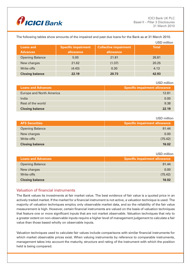

The following tables show amounts of the impaired and past due loans for the Bank as at 31 March 2010.

|                        |                            |                              | USD million  |
|------------------------|----------------------------|------------------------------|--------------|
| <b>Loans and</b>       | <b>Specific impairment</b> | <b>Collective impairment</b> | <b>Total</b> |
| <b>Advances</b>        | allowance                  | allowance                    |              |
| <b>Opening Balance</b> | 5.00                       | 21.81                        | 26.81        |
| New charges            | 21.62                      | (1.37)                       | 20.25        |
| Write-offs             | (4.43)                     | 0.30                         | 4.13         |
| <b>Closing balance</b> | 22.19                      | 20.73                        | 42.93        |

USD million

| <b>Loans and Advances</b>       | <b>Specific impairment allowance</b> |
|---------------------------------|--------------------------------------|
| <b>Europe and North America</b> | 12.81                                |
| India                           | 0.00                                 |
| Rest of the world               | 9.38                                 |
| <b>Closing balance</b>          | 22.19                                |

#### USD million

| <b>AFS Securities</b>  | Specific impairment allowance |
|------------------------|-------------------------------|
| <b>Opening Balance</b> | 91.44                         |
| New charges            | 0.00                          |
| Write-offs             | (75.42)                       |
| <b>Closing balance</b> | 16.02                         |

#### USD million

| <b>Loans and Advances</b> | Specific impairment allowance |
|---------------------------|-------------------------------|
| <b>Opening Balance</b>    | 91.44                         |
| New charges               | 0.00                          |
| Write-offs                | (75.42)                       |
| <b>Closing balance</b>    | 16.02                         |

## Valuation of financial instruments

The Bank values its investments at fair market value. The best evidence of fair value is a quoted price in an actively traded market. If the market for a financial instrument is not active, a valuation technique is used. The majority of valuation techniques employ only observable market data, and so the reliability of the fair value measurement is high. However, certain financial instruments are valued on the basis of valuation techniques that feature one or more significant inputs that are not market observable. Valuation techniques that rely to a greater extent on non-observable inputs require a higher level of management judgement to calculate a fair value than those based wholly on observable inputs.

Valuation techniques used to calculate fair values include comparisons with similar financial instruments for which market observable prices exist. When valuing instruments by reference to comparable instruments, management takes into account the maturity, structure and rating of the instrument with which the position held is being compared.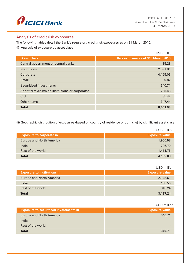

## Analysis of credit risk exposures

The following tables detail the Bank's regulatory credit risk exposures as on 31 March 2010.

(i) Analysis of exposure by asset class

|                                                 | USD million                                     |
|-------------------------------------------------|-------------------------------------------------|
| <b>Asset class</b>                              | Risk exposure as at 31 <sup>st</sup> March 2010 |
| Central government or central banks             | 35.28                                           |
| Institutions                                    | 2,391.81                                        |
| Corporate                                       | 4,165.03                                        |
| Retail                                          | 0.82                                            |
| Securitised investments                         | 340.71                                          |
| Short term claims on institutions or corporates | 735.43                                          |
| CIU                                             | 35.42                                           |
| Other items                                     | 347.44                                          |
| <b>Total</b>                                    | 8,051.93                                        |

(ii) Geographic distribution of exposures (based on country of residence or domicile) by significant asset class

|                                 | USD million           |
|---------------------------------|-----------------------|
| <b>Exposure to corporate in</b> | <b>Exposure value</b> |
| <b>Europe and North America</b> | 1,956.58              |
| India                           | 796.70                |
| Rest of the world               | 1,411.75              |
| <b>Total</b>                    | 4,165.03              |

|                                    | USD million           |
|------------------------------------|-----------------------|
| <b>Exposure to institutions in</b> | <b>Exposure value</b> |
| <b>Europe and North America</b>    | 2,148.51              |
| India                              | 168.50                |
| Rest of the world                  | 810.24                |
| <b>Total</b>                       | 3,127.24              |

USD million

| <b>Exposure to securitised investments in</b> | <b>Exposure value</b> |
|-----------------------------------------------|-----------------------|
| <b>Europe and North America</b>               | 340.71                |
| India                                         |                       |
| Rest of the world                             |                       |
| <b>Total</b>                                  | 340.71                |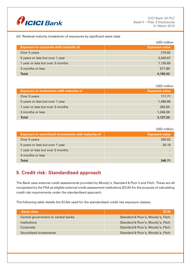

#### (iii) Residual maturity breakdown of exposures by significant asset class

|                                               | USD million           |
|-----------------------------------------------|-----------------------|
| <b>Exposure to corporate with maturity of</b> | <b>Exposure value</b> |
| Over 5 years                                  | 216.82                |
| 5 years or less but over 1 year               | 2,240.67              |
| 1 year or less but over 3 months              | 1,135.65              |
| 3 months or less                              | 571.89                |
| <b>Total</b>                                  | 4,165,03              |

|                                                  | USD million           |
|--------------------------------------------------|-----------------------|
| <b>Exposure to institutions with maturity of</b> | <b>Exposure value</b> |
| Over 5 years                                     | 111.71                |
| 5 years or less but over 1 year                  | 1,486.80              |
| 1 year or less but over 3 months                 | 282.64                |
| 3 months or less                                 | 1,246.09              |
| <b>Total</b>                                     | 3,127,24              |

#### USD million

| <b>Exposure to securitised investments with maturity of</b> | <b>Exposure value</b> |
|-------------------------------------------------------------|-----------------------|
| Over 5 years                                                | 320.52                |
| 5 years or less but over 1 year                             | 20.19                 |
| 1 year or less but over 3 months                            |                       |
| 3 months or less                                            |                       |
| <b>Total</b>                                                | 340 71                |

# **5. Credit risk: Standardised approach**

The Bank uses external credit assessments provided by Moody's, Standard & Poor's and Fitch. These are all recognised by the FSA as eligible external credit assessment institutions (ECAI) for the purpose of calculating credit risk requirements under the standardised approach.

The following table details the ECAIs used for the standardised credit risk exposure classes.

| <b>Asset class</b>                  | ECAI                              |
|-------------------------------------|-----------------------------------|
| Central government or central banks | Standard & Poor's, Moody's, Fitch |
| <i><u><b>Institutions</b></u></i>   | Standard & Poor's, Moody's, Fitch |
| Corporate                           | Standard & Poor's, Moody's, Fitch |
| Securitised investments             | Standard & Poor's, Moody's, Fitch |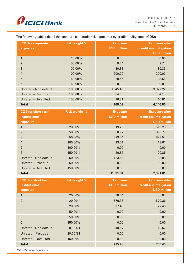

The following tables detail the standardised credit risk exposures by credit quality steps (CQS):

| <b>CQS</b> for corporate<br>exposure | <b>Risk weight %</b> | <b>Exposure</b><br><b>USD million</b> | <b>Exposure after</b><br>credit risk mitigation<br><b>USD million</b> |
|--------------------------------------|----------------------|---------------------------------------|-----------------------------------------------------------------------|
|                                      | 20.00%               | 0.00                                  | 0.00                                                                  |
| $\overline{2}$                       | 50.00%               | 9.74                                  | 9.74                                                                  |
| 3                                    | 100.00%              | 30.33                                 | 30.33                                                                 |
| $\overline{4}$                       | 100.00%              | 200.00                                | 200.00                                                                |
| 5                                    | 150.00%              | 28.56                                 | 28.56                                                                 |
| 6                                    | 150.00%              | 0.00                                  | 0.00                                                                  |
| Unrated - Non default                | 100.00%              | 3,845.45                              | 3,827.22                                                              |
| Unrated - Past due                   | 100.00%              | 34.15                                 | 34.15                                                                 |
| Unrated - Defaulted                  | 150.00%              | 16.81                                 | 16.81                                                                 |
| <b>Total</b>                         |                      | 4,165.03                              | 4,146.80                                                              |

| <b>CQS</b> for short term<br>institutional | <b>Risk weight %</b> | <b>Exposure</b><br><b>USD million</b> | <b>Exposure after</b><br>credit risk mitigation |
|--------------------------------------------|----------------------|---------------------------------------|-------------------------------------------------|
| exposure                                   |                      |                                       | <b>USD million</b>                              |
|                                            | 20.00%               | 519.20                                | 519.20                                          |
| $\overline{2}$                             | 50.00%               | 890.77                                | 890.77                                          |
| 3                                          | 50.00%               | 823.54                                | 823.54                                          |
| $\overline{4}$                             | 100.00%              | 13.61                                 | 13.61                                           |
| 5                                          | 100.00%              | 0.00                                  | 0.00                                            |
| $6\phantom{1}$                             | 150.00%              | 20.85                                 | 20.85                                           |
| Unrated - Non default                      | 50.00%               | 123.83                                | 123.83                                          |
| Unrated - Past due                         | 50.00%               | 0.00                                  | 0.00                                            |
| Unrated - Defaulted                        | 150.00%              | 0.00                                  | 0.00                                            |
| <b>Total</b>                               |                      | 2,391.81                              | 2,391.81                                        |

| <b>CQS</b> for short term<br><i>institutional</i><br>exposure | <b>Risk weight %</b> | <b>Exposure</b><br><b>USD million</b> | <b>Exposure after</b><br>credit risk mitigation<br><b>USD million</b> |
|---------------------------------------------------------------|----------------------|---------------------------------------|-----------------------------------------------------------------------|
| $\mathbf{1}$                                                  | 20.00%               | 38.04                                 | 38.04                                                                 |
| $\overline{2}$                                                | 20.00%               | 570.36                                | 570.36                                                                |
| 3                                                             | 20.00%               | 77.46                                 | 77.46                                                                 |
| $\overline{4}$                                                | 50.00%               | 0.00                                  | 0.00                                                                  |
| $5\phantom{1}$                                                | 50.00%               | 0.00                                  | 0.00                                                                  |
| $6\phantom{1}$                                                | 150.00%              | 0.00                                  | 0.00                                                                  |
| Unrated - Non default                                         | 20.00%1              | 49.57                                 | 49.57                                                                 |
| Unrated - Past due                                            | 20.00%1              | 0.00                                  | 0.00                                                                  |
| Unrated - Defaulted                                           | 150.00%              | 0.00                                  | 0.00                                                                  |
| <b>Total</b>                                                  |                      | 735.43                                | 735.43                                                                |

*1 Subject to Sovereign rating*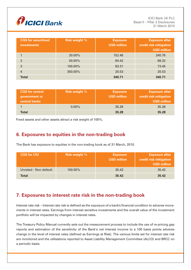

| <b>CQS</b> for securitised<br><b>investments</b> | <b>Risk weight %</b> | <b>Exposure</b><br><b>USD million</b> | <b>Exposure after</b><br>credit risk mitigation<br><b>USD million</b> |
|--------------------------------------------------|----------------------|---------------------------------------|-----------------------------------------------------------------------|
|                                                  | 20.00%               | 152.46                                | 240.76                                                                |
| $\mathfrak{p}$                                   | 50.00%               | 84.42                                 | 68.32                                                                 |
| 3                                                | 100.00%              | 83.31                                 | 73.45                                                                 |
| 4                                                | 350,00%              | 20.53                                 | 20.53                                                                 |
| <b>Total</b>                                     |                      | 340.71                                | 340.71                                                                |

| <b>CQS</b> for central<br>government or<br>central banks | <b>Risk weight %</b> | <b>Exposure</b><br><b>USD million</b> | <b>Exposure after</b><br>credit risk mitigation<br><b>USD million</b> |
|----------------------------------------------------------|----------------------|---------------------------------------|-----------------------------------------------------------------------|
|                                                          | $0.00\%$             | 35.28                                 | 35.28                                                                 |
| <b>Total</b>                                             |                      | 35.28                                 | 35.28                                                                 |

Fixed assets and other assets attract a risk weight of 100%.

# **6. Exposures to equities in the non-trading book**

The Bank has exposure to equities in the non-trading book as of 31 March, 2010.

| <b>CQS for CIU</b>    | <b>Risk weight %</b> | <b>Exposure</b><br><b>USD million</b> | <b>Exposure after</b><br>credit risk mitigation<br><b>USD million</b> |
|-----------------------|----------------------|---------------------------------------|-----------------------------------------------------------------------|
| Unrated - Non default | $100.00\%$           | 35.42                                 | 35.42                                                                 |
| Total                 |                      | 35.42                                 | 35.42                                                                 |

# **7. Exposures to interest rate risk in the non-trading book**

Interest rate risk – Interest rate risk is defined as the exposure of a bank's financial condition to adverse movements in interest rates. Earnings from interest sensitive investments and the overall value of the investment portfolio will be impacted by changes in interest rates.

The Treasury Policy Manual currently sets out the measurement process to include the use of re-pricing gap reports and estimation of the sensitivity of the Bank's net interest income to a 100 basis points adverse change in the level of interest rates (defined as Earnings at Risk). The various limits set for interest rate risk are monitored and the utilisations reported to Asset Liability Management Committee (ALCO) and BRCC on a periodic basis.